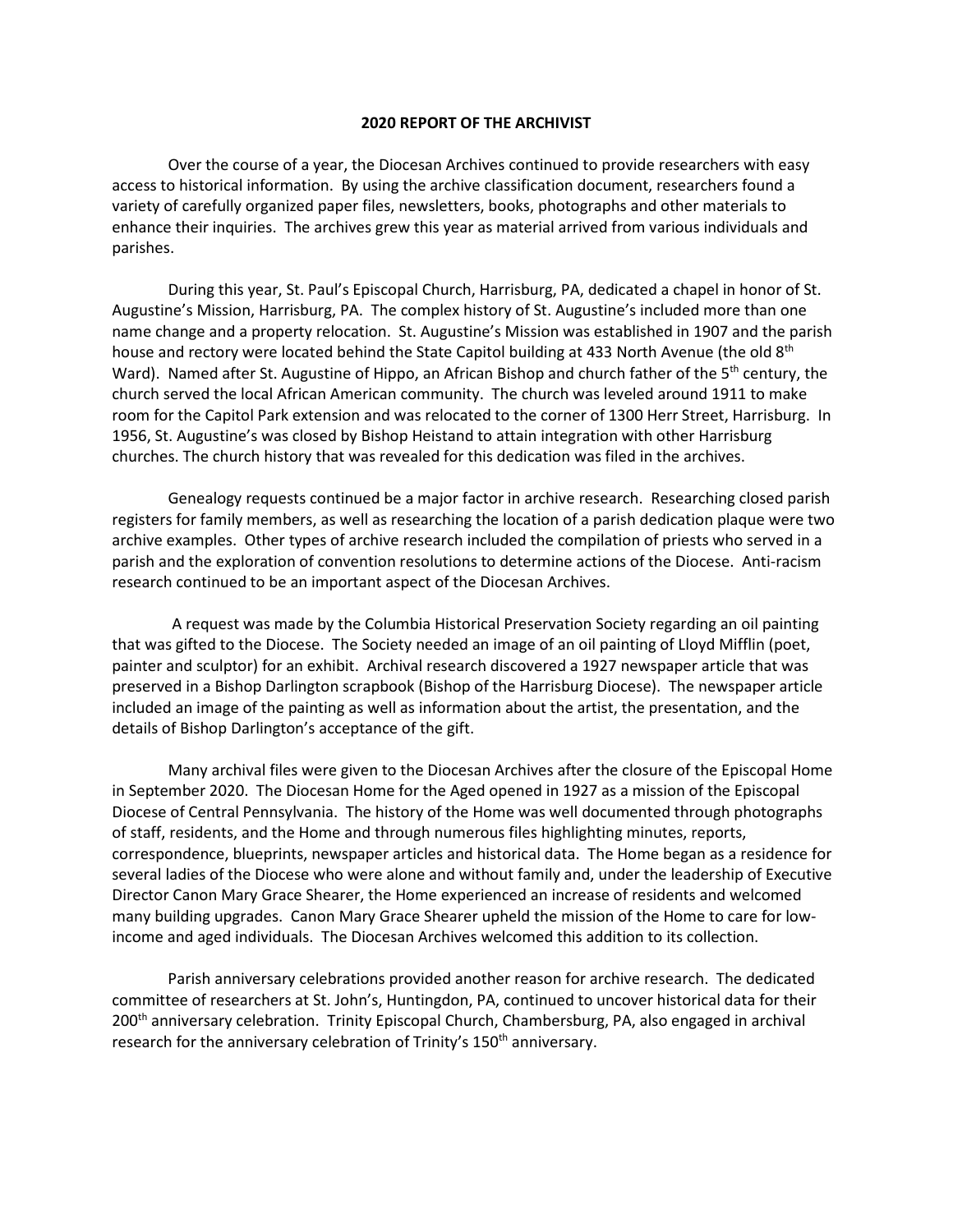## **2020 REPORT OF THE ARCHIVIST**

Over the course of a year, the Diocesan Archives continued to provide researchers with easy access to historical information. By using the archive classification document, researchers found a variety of carefully organized paper files, newsletters, books, photographs and other materials to enhance their inquiries. The archives grew this year as material arrived from various individuals and parishes.

During this year, St. Paul's Episcopal Church, Harrisburg, PA, dedicated a chapel in honor of St. Augustine's Mission, Harrisburg, PA. The complex history of St. Augustine's included more than one name change and a property relocation. St. Augustine's Mission was established in 1907 and the parish house and rectory were located behind the State Capitol building at 433 North Avenue (the old 8<sup>th</sup>) Ward). Named after St. Augustine of Hippo, an African Bishop and church father of the 5<sup>th</sup> century, the church served the local African American community. The church was leveled around 1911 to make room for the Capitol Park extension and was relocated to the corner of 1300 Herr Street, Harrisburg. In 1956, St. Augustine's was closed by Bishop Heistand to attain integration with other Harrisburg churches. The church history that was revealed for this dedication was filed in the archives.

Genealogy requests continued be a major factor in archive research. Researching closed parish registers for family members, as well as researching the location of a parish dedication plaque were two archive examples. Other types of archive research included the compilation of priests who served in a parish and the exploration of convention resolutions to determine actions of the Diocese. Anti-racism research continued to be an important aspect of the Diocesan Archives.

A request was made by the Columbia Historical Preservation Society regarding an oil painting that was gifted to the Diocese. The Society needed an image of an oil painting of Lloyd Mifflin (poet, painter and sculptor) for an exhibit. Archival research discovered a 1927 newspaper article that was preserved in a Bishop Darlington scrapbook (Bishop of the Harrisburg Diocese). The newspaper article included an image of the painting as well as information about the artist, the presentation, and the details of Bishop Darlington's acceptance of the gift.

Many archival files were given to the Diocesan Archives after the closure of the Episcopal Home in September 2020. The Diocesan Home for the Aged opened in 1927 as a mission of the Episcopal Diocese of Central Pennsylvania. The history of the Home was well documented through photographs of staff, residents, and the Home and through numerous files highlighting minutes, reports, correspondence, blueprints, newspaper articles and historical data. The Home began as a residence for several ladies of the Diocese who were alone and without family and, under the leadership of Executive Director Canon Mary Grace Shearer, the Home experienced an increase of residents and welcomed many building upgrades. Canon Mary Grace Shearer upheld the mission of the Home to care for lowincome and aged individuals. The Diocesan Archives welcomed this addition to its collection.

Parish anniversary celebrations provided another reason for archive research. The dedicated committee of researchers at St. John's, Huntingdon, PA, continued to uncover historical data for their 200th anniversary celebration. Trinity Episcopal Church, Chambersburg, PA, also engaged in archival research for the anniversary celebration of Trinity's 150<sup>th</sup> anniversary.